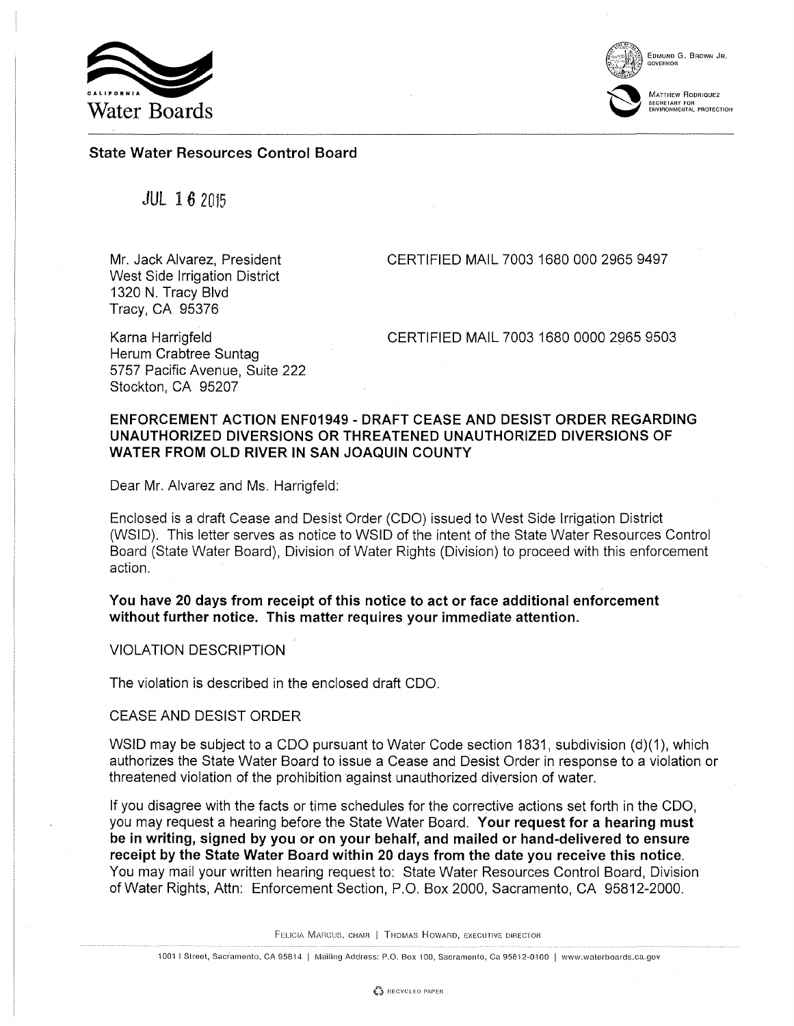

EDMUND G. BROWN JR. GOVERNOR



**MATTHEW RODRIQUEZ** SECRETARY FOR<br>ENVIRONMENTAL PROTECTION

# State Water Resources Control Board

JUL 16 2015

Mr. Jack Alvarez, President West Side Irrigation District 1320 N. Tracy Blvd Tracy, CA 95376

CERTIFIED MAIL 7003 1680 000 2965 9497

Karna Harrigfeld Herum Crabtree Suntag 5757 Pacific Avenue, Suite 222 Stockton, CA 95207

CERTIFIED MAIL 7003 1680 0000 2965 9503

# ENFORCEMENT ACTION ENF01949- DRAFT CEASE AND DESIST ORDER REGARDING UNAUTHORIZED DIVERSIONS OR THREATENED UNAUTHORIZED DIVERSIONS OF WATER FROM OLD RIVER IN SAN JOAQUIN COUNTY

Dear Mr. Alvarez and Ms. Harrigfeld:

Enclosed is a draft Cease and Desist Order (COO) issued to West Side Irrigation District (WSID). This letter serves as notice to WSID of the intent of the State Water Resources Control Board (State Water Board), Division of Water Rights (Division) to proceed with this enforcement action.

You have 20 days from receipt of this notice to act or face additional enforcement without further notice. This matter requires your immediate attention.

VIOLATION DESCRIPTION

The violation is described in the enclosed draft COO.

CEASE AND DESIST ORDER

WSID may be subject to a CDO pursuant to Water Code section 1831, subdivision (d)(1), which authorizes the State Water Board to issue a Cease and Desist Order in response to a violation or threatened violation of the prohibition against unauthorized diversion of water.

If you disagree with the facts or time schedules for the corrective actions set forth in the COO, you may request a hearing before the State Water Board. Your request for a hearing must be in writing, signed by you or on your behalf, and mailed or hand-delivered to ensure receipt by the State Water Board within 20 days from the date you receive this notice. You may mail your written hearing request to: State Water Resources Control Board, Division of Water Rights, Attn: Enforcement Section, P.O. Box 2000, Sacramento, CA 95812-2000.

FELICIA MARCUS, CHAIR | THOMAS HOWARD, EXECUTIVE DIRECTOR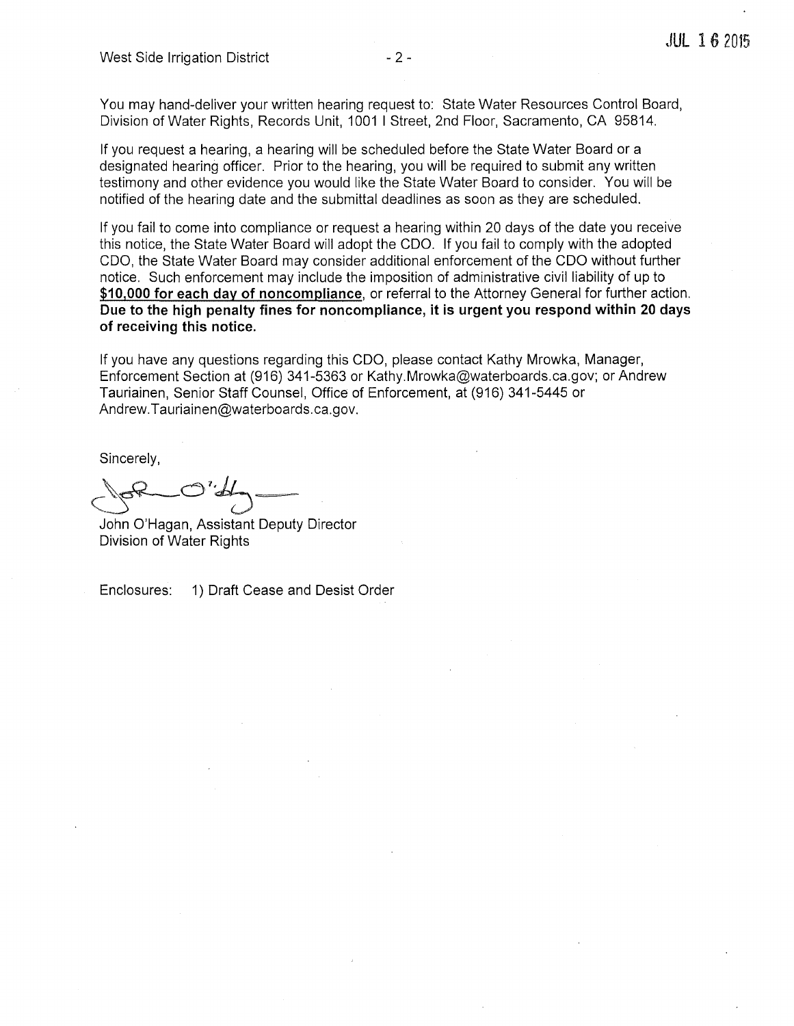You may hand-deliver your written hearing request to: State Water Resources Control Board, Division of Water Rights, Records Unit, 1001 I Street, 2nd Floor, Sacramento, CA 95814.

If you request a hearing, a hearing will be scheduled before the State Water Board or a designated hearing officer. Prior to the hearing, you will be required to submit any written testimony and other evidence you would like the State Water Board to consider. You will be notified of the hearing date and the submittal deadlines as soon as they are scheduled.

If you fail to come into compliance or request a hearing within 20 days of the date you receive this notice, the State Water Board will adopt the COO. If you fail to comply with the adopted COO, the State Water Board may consider additional enforcement of the COO without further notice. Such enforcement may include the imposition of administrative civil liability of up to **\$10,000 for each day of noncompliance,** or referral to the Attorney General for further action. **Due to the high penalty fines for noncompliance, it is urgent you respond within 20 days of receiving this notice.** 

If you have any questions regarding this COO, please contact Kathy Mrowka, Manager, Enforcement Section at (916) 341-5363 or Kathy.Mrowka@waterboards.ca.gov; or Andrew Tauriainen, Senior Staff Counsel, Office of Enforcement, at (916) 341-5445 or Andrew.Tauriainen@waterboards.ca.gov.

Sincerely,

 $C^{\varphi}$ 

John O'Hagan, Assistant Deputy Director Division of Water Rights

Enclosures: 1) Draft Cease and Desist Order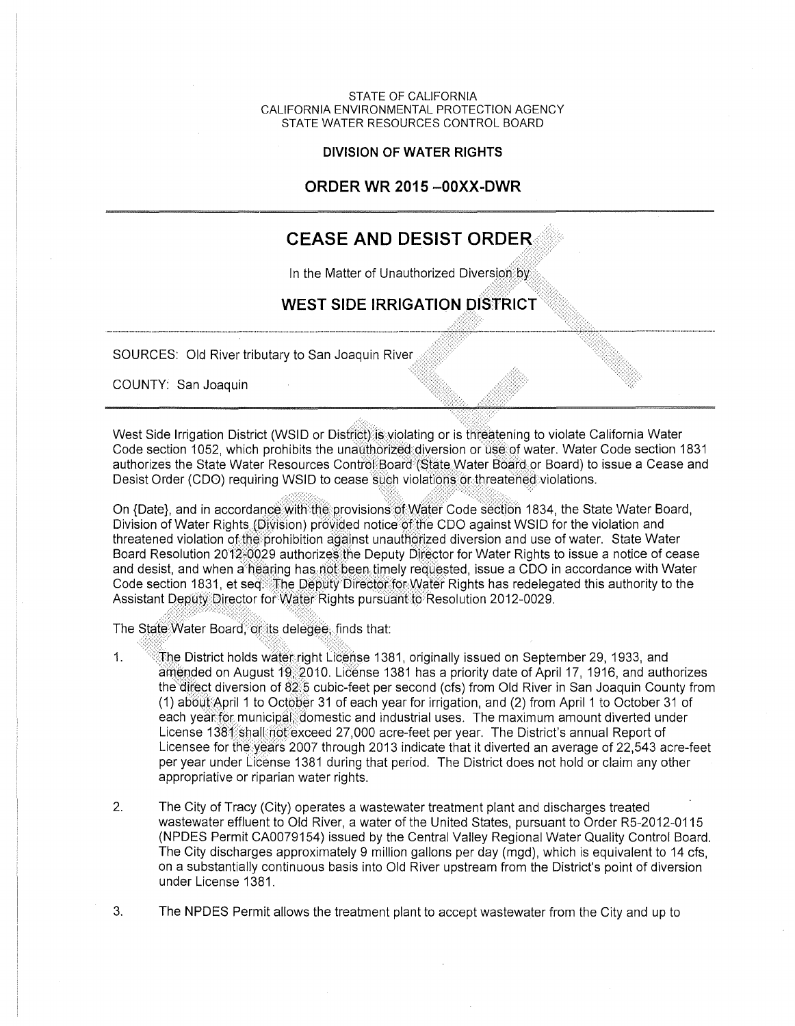STATE OF CALIFORNIA CALIFORNIA ENVIRONMENTAL PROTECTION AGENCY STATE WATER RESOURCES CONTROL BOARD

#### **DIVISION OF WATER RIGHTS**

# **ORDER WR 2015 -OOXX-DWR**

# **CEASE AND DESIST ORDER<•.**

,-<:.;::.:;·.,:\_:,:··

In the Matter of Unauthorized Diversion by

# WEST SIDE IRRIGATION DISTRICT

SOURCES: Old River tributary to San Joaquin River

COUNTY: San Joaquin

West Side Irrigation District (WSID or District) is violating or is threatening to violate California Water Code section 1052, which prohibits the unauthorized diversion or use of water. Water Code section 1831 authorizes the State Water Resources Control Board (State Water Board or Board) to issue a Cease and Desist Order (CDO) requiring WSID to cease such violations or threateried violations.

On {Date}, and in accordance with the provisions of Water Code section 1834, the State Water Board, Division of Water Rights (Division) provided notice of the CDO against WSID for the violation and threatened violation of the prohibition against unauthorized diversion and use of water. State Water Board Resolution 2012-0029 authorizes the Deputy Director for Water Rights to issue a notice of cease and desist, and when a hearing has not been timely requested, issue a CDO in accordance with Water Code section 1831, et seq. The Deputy Director for Water Rights has redelegated this authority to the Assistant D~pqty[)irE;lctor forW?ter Rights pursliarifto:Resolution 2012-0029. -:;;::,:·.;~:<:~/·"•'· ,', -:· ,' ·,

The State Water Board, on its delease, finds that:

- 1.  $\sqrt{\frac{m}{h}}$ he District holds water right License 1381, originally issued on September 29, 1933, and amended on August 19-2010. License 1381 has a priority date of April 17, 1916, and authorizes the direct diversion of 82.5 cubic-feet per second (cfs) from Old River in San Joaquin County from (1) about:April 1 to October 31 of each year for irrigation, and (2) from April 1 to October 31 of each year for municipal domestic and industrial uses. The maximum amount diverted under License 1381 shall not exceed 27,000 acre-feet per year. The District's annual Report of Licensee for the years 2007 through 2013 indicate that it diverted an average of 22,543 acre-feet per year under License 1381 during that period. The District does not hold or claim any other appropriative or riparian water rights.
- 2. The City of Tracy (City) operates a wastewater treatment plant and discharges treated wastewater effluent to Old River, a water of the United States, pursuant to Order R5-2012-0115 (NPDES Permit CA0079154) issued by the Central Valley Regional Water Quality Control Board. The City discharges approximately 9 million gallons per day (mgd), which is equivalent to 14 cfs, on a substantially continuous basis into Old River upstream from the District's point of diversion under License 1381.
- 3. The NPDES Permit allows the treatment plant to accept wastewater from the City and up to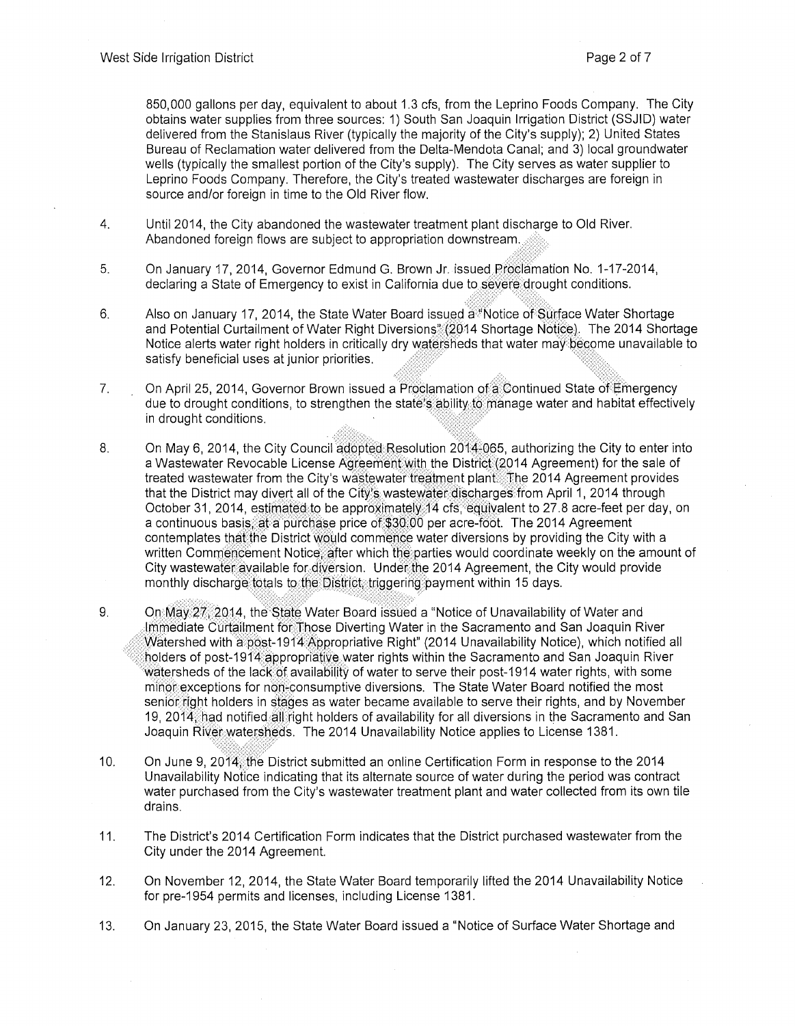850,000 gallons per day, equivalent to about 1.3 cfs, from the Leprino Foods Company. The City obtains water supplies from three sources: 1) South San Joaquin Irrigation District (SSJID) water delivered from the Stanislaus River (typically the majority of the City's supply); 2) United States Bureau of Reclamation water delivered from the Delta-Mendota Canal; and 3) local groundwater wells (typically the smallest portion of the City's supply). The City serves as water supplier to Leprino Foods Company. Therefore, the City's treated wastewater discharges are foreign in source and/or foreign in time to the Old River flow.

- 4. Until 2014, the City abandoned the wastewater treatment plant discharge to Old River. Abandoned foreign flows are subject to appropriation downstream.
- 5. On January 17, 2014, Governor Edmund G. Brown Jr. issued Proclamation No. 1-17-2014, declaring a State of Emergency to exist in California due to severe.drought conditions.
- 6. Also on January 17, 2014, the State Water Board issued a<sup>\*\*</sup>Notice of Surface Water Shortage and Potential Curtailment of Water Right Diversions<sup>\*</sup> (2014 Shortage Notice). The 2014 Shortage Notice alerts water right holders in critically dry watersheds that water may become unavailable to satisfy beneficial uses at junior priorities.
- 7. On April 25, 2014, Governor Brown issued a Proclamation of a Continued State of Emergency due to drought conditions, to strengthen the state's ability to manage water and habitat effectively in drought conditions.
- 8. On May 6, 2014, the City Council  $\frac{30}{100}$  Resolution 2014-065, authorizing the City to enter into a Wastewater Revocable License Agreement with the District (2014 Agreement) for the sale of treated wastewater from the City's wastewater treatment plant. The 2014 Agreement provides that the District may divert all of the City's wastewater discharges from April 1, 2014 through October 31, 2014, estimated to be approximately 14 cfs, equivalent to 27.8 acre-feet per day, on a continuous basis, at a purchase price of \$30.00 per acre-foot. The 2014 Agreement contemplates that the District would commence water diversions by providing the City with a written Commencement Notice; after which the parties would coordinate weekly on the amount of City wastewater available for diversion. Under the 2014 Agreement, the City would provide monthly discharge totals to the District, triggering payment within 15 days.
- 9. On May 27, 2014, the State Water Board issued a "Notice of Unavailability of Water and lmmediate Curtailment for:Those Diverting Water in the Sacramento and San Joaquin River Watershed with a post-1914 Appropriative Right" (2014 Unavailability Notice), which notified all • holders of post-1914appropriative water rights within the Sacramento and San Joaquin River watersheds of the lack of availability of water to serve their post-1914 water rights, with some minor exceptions for non-consumptive diversions. The State Water Board notified the most senior fight holders in stages as water became available to serve their rights, and by November 19, 2014; had notified all right holders of availability for all diversions in the Sacramento and San Joaquin River watersheds. The 2014 Unavailability Notice applies to License 1381.
- 10. On June 9, 2014. the District submitted an online Certification Form in response to the 2014 Unavailability Notice indicating that its alternate source of water during the period was contract water purchased from the City's wastewater treatment plant and water collected from its own tile drains.
- 11. The District's 2014 Certification Form indicates that the District purchased wastewater from the City under the 2014 Agreement.
- 12. On November 12, 2014, the State Water Board temporarily lifted the 2014 Unavailability Notice for pre-1954 permits and licenses, including License 1381.
- 13. On January 23, 2015, the State Water Board issued a "Notice of Surface Water Shortage and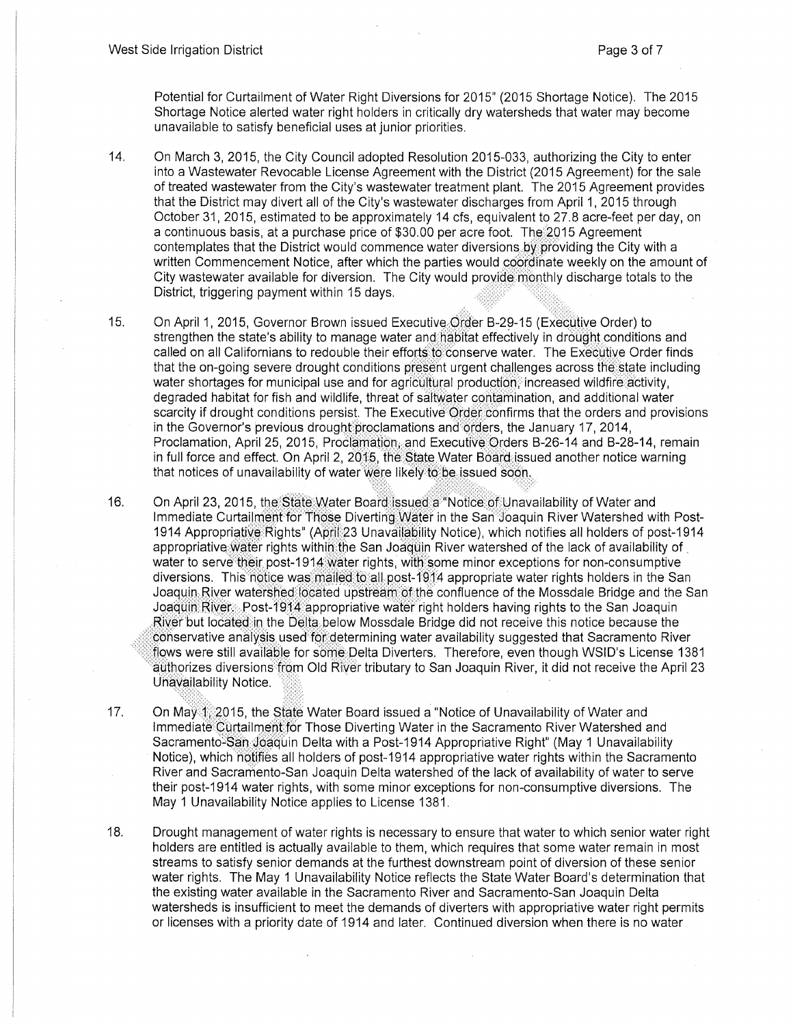Potential for Curtailment of Water Right Diversions for 2015" (2015 Shortage Notice). The 2015 Shortage Notice alerted water right holders in critically dry watersheds that water may become unavailable to satisfy beneficial uses at junior priorities.

- 14. On March 3, 2015, the City Council adopted Resolution 2015-033, authorizing the City to enter into a Wastewater Revocable License Agreement with the District (2015 Agreement) for the sale of treated wastewater from the City's wastewater treatment plant. The 2015 Agreement provides that the District may divert all of the City's wastewater discharges from April 1, 2015 through October 31, 2015, estimated to be approximately 14 cfs, equivalent to 27.8 acre-feet per day, on a continuous basis, at a purchase price of  $$30.00$  per acre foot. The  $2015$  Agreement contemplates that the District would commence water diversions by providing the City with a written Commencement Notice, after which the parties would coordinate weekly on the amount of City wastewater available for diversion. The City would provide monthly discharge totals to the District, triggering payment within 15 days.
- 15. On April 1, 2015, Governor Brown issued Executive Order B-29-15 (Executive Order) to strengthen the state's ability to manage water and habitat effectively in drought conditions and called on all Californians to redouble their efforts to conserve water. The Executive Order finds that the on-going severe drought conditions present urgent challenges across the state including water shortages for municipal use and for agricultural production, increased wildfire activity, degraded habitat for fish and wildlife, threat of saitwater contamination, and additional water scarcity if drought conditions persist. The Executive Order confirms that the orders and provisions in the Governor's previous drought proclamations and orders, the January 17, 2014, Proclamation, April 25, 2015, Proclamation, and Executive Orders B-26-14 and B-28-14, remain in full force and effect. On April 2, 2015, the State Water Board issued another notice warning that notices of unavailability of water were likely to be issued soon.
- 16. On April 23, 2015, the State Water Board issued a "Notice of Unavailability of Water and Immediate Curtailment for Those Diverting Water in the San Joaquin River Watershed with Post-1914 Appropriative:Rights" (April:23 Unavailability Notice), which notifies all holders of post-1914 appropriative water rights within the San Joaquin River watershed of the lack of availability of water to serve their post-1914 water rights, with some minor exceptions for non-consumptive diversions. This notice was mailed to all post-1914 appropriate water rights holders in the San Joaquin River watershed: located upstrearm of the confluence of the Mossdale Bridge and the San Joaquin River: Post-1914 appropriative water right holders having rights to the San Joaquin River but located in the Delta below Mossdale Bridge did not receive this notice because the conservative analysis used for determining water availability suggested that Sacramento River flows were still available for some Delta Diverters. Therefore, even though WSID's License 1381 authorizes diversions from Old River tributary to San Joaquin River, it did not receive the April 23 Unavailability Notice.
- 17. On May <sup>1</sup>/2015, the State Water Board issued a "Notice of Unavailability of Water and Immediate Curtailment for Those Diverting Water in the Sacramento River Watershed and Sacramento-San Joaquin Delta with a Post-1914 Appropriative Right" (May 1 Unavailability Notice), which notifies all holders of post-1914 appropriative water rights within the Sacramento River and Sacramento-San Joaquin Delta watershed of the lack of availability of water to serve their post-1914 water rights, with some minor exceptions for non-consumptive diversions. The May 1 Unavailability Notice applies to License 1381.
- 18. Drought management of water rights is necessary to ensure that water to which senior water right holders are entitled is actually available to them, which requires that some water remain in most streams to satisfy senior demands at the furthest downstream point of diversion of these senior water rights. The May 1 Unavailability Notice reflects the State Water Board's determination that the existing water available in the Sacramento River and Sacramento-San Joaquin Delta watersheds is insufficient to meet the demands of diverters with appropriative water right permits or licenses with a priority date of 1914 and later. Continued diversion when there is no water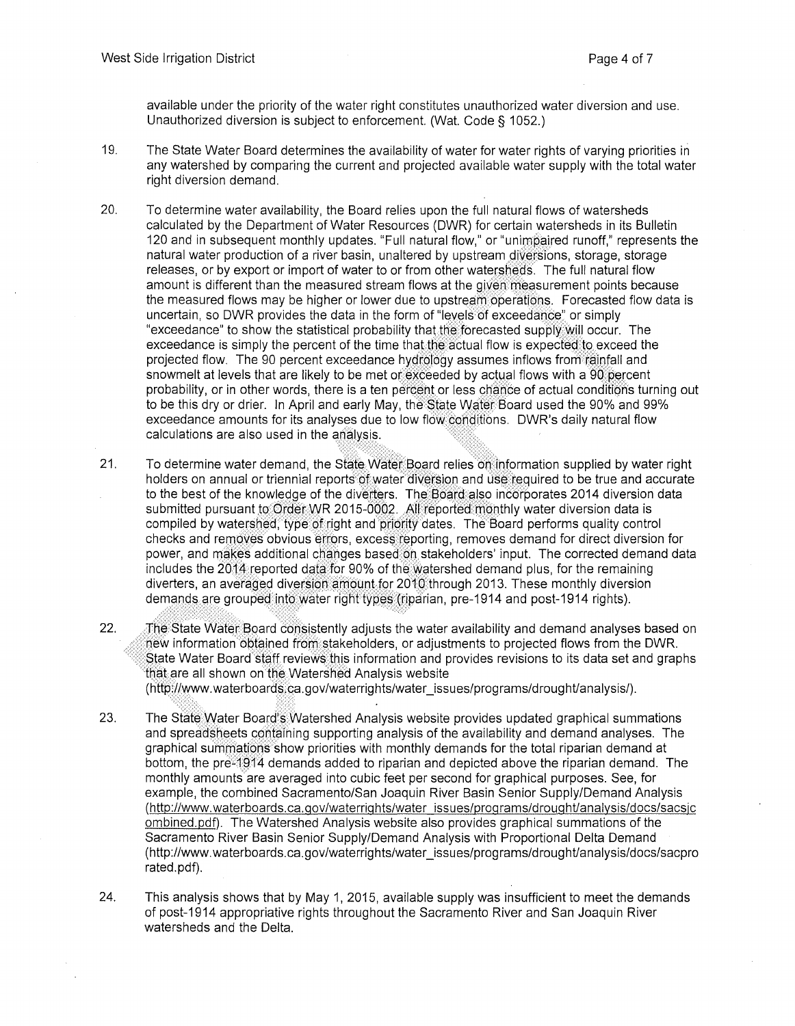available under the priority of the water right constitutes unauthorized water diversion and use. Unauthorized diversion is subject to enforcement. (Wat. Code § 1052.)

- 19. The State Water Board determines the availability of water for water rights of varying priorities iri any watershed by comparing the current and projected available water supply with the total water right diversion demand.
- 20. To determine water availability, the Board relies upon the full natural flows of watersheds calculated by the Department of Water Resources (DWR) for certain watersheds in its Bulletin 120 and in subsequent monthly updates. "Full natural flow," or "unimpaired runoff," represents the natural water production of a river basin, unaltered by upstream diversions, storage, storage releases, or by export or import of water to or from other watersheds. The full natural flow amount is different than the measured stream flows at the given measurement points because the measured flows may be higher or lower due to upstream operations. Forecasted flow data is uncertain, so DWR provides the data in the form of "levels of exceedance" or simply "exceedance" to show the statistical probability that the forecasted supply will occur. The exceedance is simply the percent of the time that the actual flow is expected to exceed the projected flow. The 90 percent exceedance hydrology assumes inflows from rainfall and snowmelt at levels that are likely to be met of exceeded by actual flows with a 90 percent probability, or in other words, there is a ten percent or less chance of actual conditions turning out to be this dry or drier. In April and early May, the State Water Board used the 90% and 99% exceedance amounts for its analyses due to low flow conditions. DWR's daily natural flow calculations are also used in the analysis.
- 21. To determine water demand, the State Water Board relies on. information supplied by water right holders on annual or triennial reports of water diversion and use required to be true and accurate to the best of the knowledge of the diverters. The Board also incorporates 2014 diversion data submitted pursuant to Order WR 2015-0002. All reported monthly water diversion data is compiled by watershed, type of right and priority dates. The Board performs quality control checks and removes obvious effors, excess reporting, removes demand for direct diversion for power, and makes additional changes based on stakeholders' input. The corrected demand data includes the 2014 reported data for 90% of the watershed demand plus, for the remaining diverters, an averaged diversion amount for 2010 through 2013. These monthly diversion demands are grouped into water right types (riparian, pre-1914 and post-1914 rights).
- 22. The State Water Board consistently adjusts the water availability and demand analyses based on new information obtained from stakeholders, or adjustments to projected flows from the DWR. State Water Board staff reviews this information and provides revisions to its data set and graphs that are all shown on the Watershed Analysis website (http://www.waterboards:ca.gov/waterrights/water\_issues/programs/drought/analysis/).
- 23. The State Water Board's Watershed Analysis website provides updated graphical summations and spreadsheets containing supporting analysis of the availability and demand analyses. The graphical summations show priorities with monthly demands for the total riparian demand at bottom, the pre-1914 demands added to riparian and depicted above the riparian demand. The monthly amounts are averaged into cubic feet per second for graphical purposes. See, for example, the combined Sacramento/San Joaquin River Basin Senior Supply/Demand Analysis (http://www.waterboards.ca.gov/waterrights/water issues/programs/droughtlanalysis/docs/sacsjc ombined.pdf). The Watershed Analysis website also provides graphical summations of the Sacramento River Basin Senior Supply/Demand Analysis with Proportional Delta Demand (http://www.waterboards.ca.gov/waterrights/water\_issues/programs/droughtlanalysis/docs/sacpro rated.pdf).
- 24. This analysis shows that by May 1, 2015, available supply was insufficient to meet the demands of post-1914 appropriative rights throughout the Sacramento River and San Joaquin River watersheds and the Delta.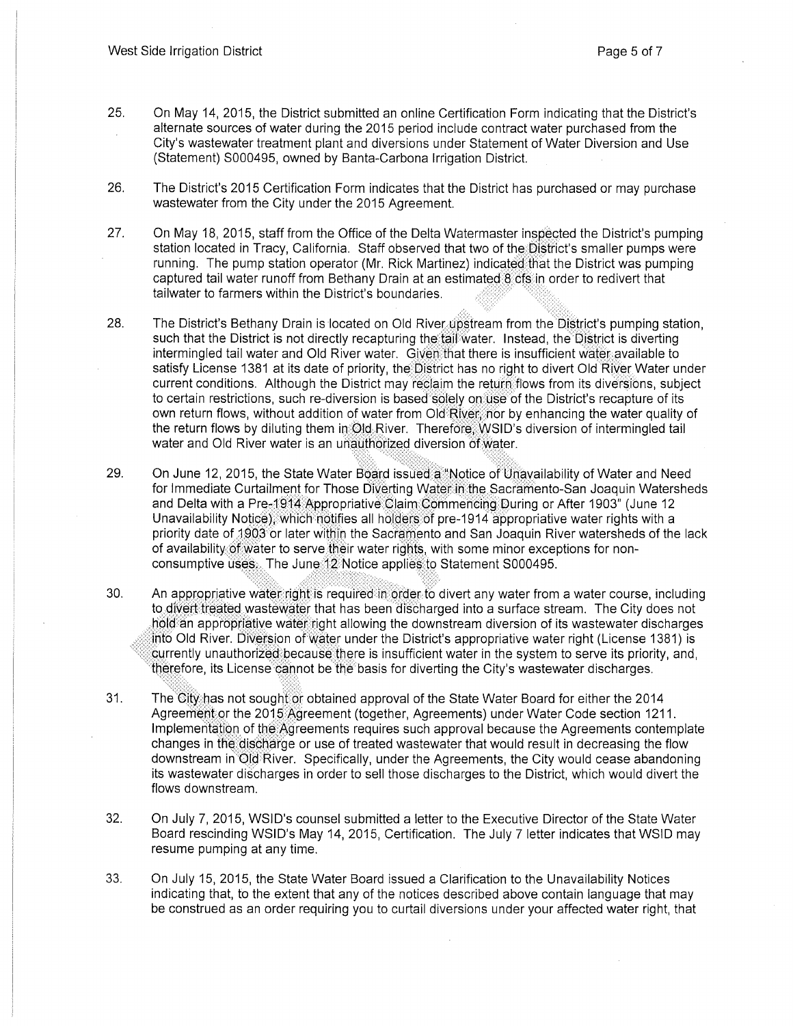- 25. On May 14, 2015, the District submitted an online Certification Form indicating that the District's alternate sources of water during the 2015 period include contract water purchased from the City's wastewater treatment plant and diversions under Statement of Water Diversion and Use (Statement) S000495, owned by Banta-Carbona Irrigation District.
- 26. The District's 2015 Certification Form indicates that the District has purchased or may purchase wastewater from the City under the 2015 Agreement.
- 27. On May 18, 2015, staff from the Office of the Delta Watermaster inspected the District's pumping station located in Tracy, California. Staff observed that two of the District's smaller pumps were running. The pump station operator (Mr. Rick Martinez) indicated that the District was pumping captured tail water runoff from Bethany Drain at an estimated 8 cfs.in order to redivert that tailwater to farmers within the District's boundaries.
- 28. The District's Bethany Drain is located on Old River upstream from the District's pumping station, such that the District is not directly recapturing the tail water. Instead, the District is diverting intermingled tail water and Old River water. Given that there is insufficient water available to satisfy License 1381 at its date of priority, the District has no right to divert Old River Water under current conditions. Although the District may reclaim the return flows from its diversions, subject to certain restrictions, such re-diversion is based solely on use of the District's recapture of its own return flows, without addition of water from Old River; nor by enhancing the water quality of the return flows by diluting them in Old River. Therefore, WSID's diversion of intermingled tail water and Old River water is an unauthorized diversion of water.
- 29. On June 12, 2015, the State Water Board issued a "Notice of Unavailability of Water and Need for Immediate Curtailment for Those Diverting Water: in the Sacramento-San Joaquin Watersheds and Delta with a Pre-1914 Appropriative Claim Commencing During or After 1903" (June 12 Unavailability Notice), which notifies all holders of pre-1914 appropriative water rights with a priority date of 1903 or later within the Sacramento and San Joaquin River watersheds of the lack of availability of water to serve their water rights, with some minor exceptions for nonconsumptive uses. The June:12 Notice applies to Statement S000495.
- 30. An appropriative water right is required in order to divert any water from a water course, including to divert treated wastewater that has been discharged into a surface stream. The City does not hold an appropriative water right allowing the downstream diversion of its wastewater discharges  $\dot{1}$ ito Old River. Diversion of water under the District's appropriative water right (License 1381) is currently unauthorized because there is insufficient water in the system to serve its priority, and, lberefore, its License cannot be the basis for diverting the City's wastewater discharges.
- 31. The City has not sought or obtained approval of the State Water Board for either the 2014 Agreement or the 2015 Agreement (together, Agreements) under Water Code section 1211. Implementation of the Agreements requires such approval because the Agreements contemplate changes in the discharge or use of treated wastewater that would result in decreasing the flow downstream in Old River. Specifically, under the Agreements, the City would cease abandoning its wastewater discharges in order to sell those discharges to the District, which would divert the flows downstream.
- 32. On July 7, 2015, WSID's counsel submitted a letter to the Executive Director of the State Water Board rescinding WSID's May 14, 2015, Certification. The July 7 letter indicates that WSID may resume pumping at any time.
- 33. On July 15, 2015, the State Water Board issued a Clarification to the Unavailability Notices indicating that, to the extent that any of the notices described above contain language that may be construed as an order requiring you to curtail diversions under your affected water right, that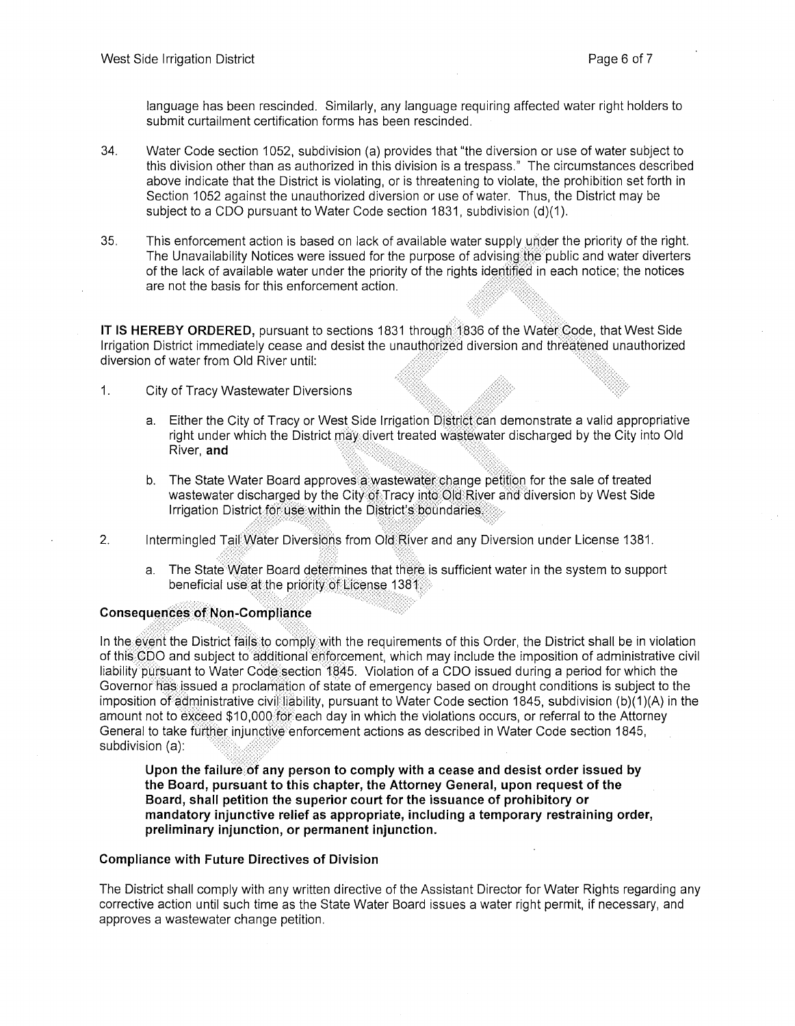language has been rescinded. Similarly, any language requiring affected water right holders to submit curtailment certification forms has been rescinded.

- 34. Water Code section 1052, subdivision (a) provides that "the diversion or use of water subject to this division other than as authorized in this division is a trespass." The circumstances described above indicate that the District is violating, or is threatening to violate, the prohibition set forth in Section 1052 against the unauthorized diversion or use of water. Thus, the District may be subject to a CDO pursuant to Water Code section 1831, subdivision (d)(1).
- 35. This enforcement action is based on lack of available water supply under the priority of the right. The Unavailability Notices were issued for the purpose of advising the public and water diverters of the lack of available water under the priority of the rights identified in each notice; the notices are not the basis for this enforcement action.

**IT IS HEREBY ORDERED,** pursuant to sections 1831 through 1836 of the Water Code, that West Side Irrigation District immediately cease and desist the unauthorized diversion and threatened unauthorized diversion of water from Old River until:

- 1. City of Tracy Wastewater Diversions
	- a. Either the City of Tracy or West Side Irrigation District can demonstrate a valid appropriative right under which the District may divert treated wastewater discharged by the City into Old River, and
	- b. The State Water Board approves a wastewater change petition for the sale of treated wastewater discharged by the City of Tracy into Old River and diversion by West Side Irrigation District for use within the District's boundaries:
- 2. Intermingled Tail:Water Diversions from Old River and any Diversion under License 1381.
	- a. The State Water Board determines that there is sufficient water in the system to support beneficial use at the priority of License 1381

## Consequences of Non-Compliance

In the event the District fails to comply with the requirements of this Order, the District shall be in violation of this QDO and subject to additional enforcement, which may include the imposition of administrative civil liability pursuant to Water Code section 1845. Violation of a CDO issued during a period for which the Governor has issued a proclamation of state of emergency based on drought conditions is subject to the imposition of administrative civil liability, pursuant to Water Code section 1845, subdivision (b)(1 )(A) in the amount not to exceed \$10,000 for each day in which the violations occurs, or referral to the Attorney General to take further injunctive enforcement actions as described in Water Code section 1845, subdivision (a):

Upon the failure of any person to comply with a cease and desist order issued by **the Board, pursuant to this chapter, the Attorney General, upon request of the Board, shall petition the superior court for the issuance of prohibitory or mandatory injunctive relief as appropriate, including a temporary restraining order, preliminary injunction, or permanent injunction.** 

#### **Compliance with Future Directives of Division**

The District shall comply with any written directive of the Assistant Director for Water Rights regarding any corrective action until such time as the State Water Board issues a water right permit, if necessary, and approves a wastewater change petition.